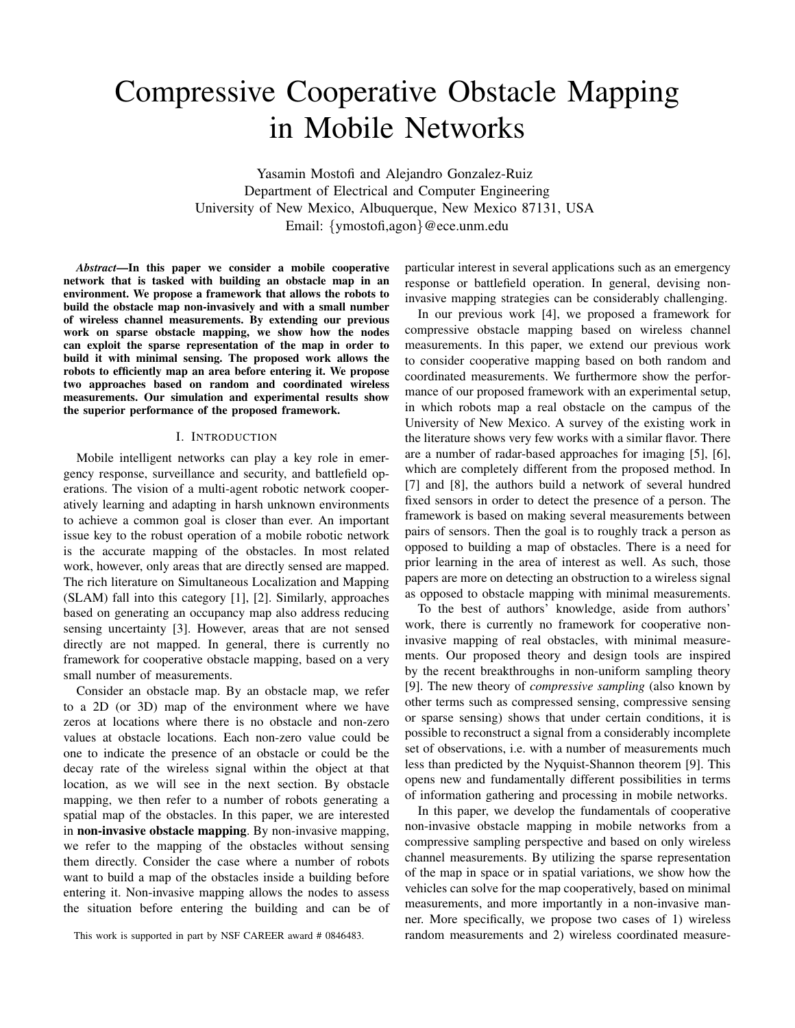# Compressive Cooperative Obstacle Mapping in Mobile Networks

Yasamin Mostofi and Alejandro Gonzalez-Ruiz Department of Electrical and Computer Engineering University of New Mexico, Albuquerque, New Mexico 87131, USA Email: {ymostofi,agon}@ece.unm.edu

*Abstract*—In this paper we consider a mobile cooperative network that is tasked with building an obstacle map in an environment. We propose a framework that allows the robots to build the obstacle map non-invasively and with a small number of wireless channel measurements. By extending our previous work on sparse obstacle mapping, we show how the nodes can exploit the sparse representation of the map in order to build it with minimal sensing. The proposed work allows the robots to efficiently map an area before entering it. We propose two approaches based on random and coordinated wireless measurements. Our simulation and experimental results show the superior performance of the proposed framework.

#### I. INTRODUCTION

Mobile intelligent networks can play a key role in emergency response, surveillance and security, and battlefield operations. The vision of a multi-agent robotic network cooperatively learning and adapting in harsh unknown environments to achieve a common goal is closer than ever. An important issue key to the robust operation of a mobile robotic network is the accurate mapping of the obstacles. In most related work, however, only areas that are directly sensed are mapped. The rich literature on Simultaneous Localization and Mapping (SLAM) fall into this category [1], [2]. Similarly, approaches based on generating an occupancy map also address reducing sensing uncertainty [3]. However, areas that are not sensed directly are not mapped. In general, there is currently no framework for cooperative obstacle mapping, based on a very small number of measurements.

Consider an obstacle map. By an obstacle map, we refer to a 2D (or 3D) map of the environment where we have zeros at locations where there is no obstacle and non-zero values at obstacle locations. Each non-zero value could be one to indicate the presence of an obstacle or could be the decay rate of the wireless signal within the object at that location, as we will see in the next section. By obstacle mapping, we then refer to a number of robots generating a spatial map of the obstacles. In this paper, we are interested in non-invasive obstacle mapping. By non-invasive mapping, we refer to the mapping of the obstacles without sensing them directly. Consider the case where a number of robots want to build a map of the obstacles inside a building before entering it. Non-invasive mapping allows the nodes to assess the situation before entering the building and can be of particular interest in several applications such as an emergency response or battlefield operation. In general, devising noninvasive mapping strategies can be considerably challenging.

In our previous work [4], we proposed a framework for compressive obstacle mapping based on wireless channel measurements. In this paper, we extend our previous work to consider cooperative mapping based on both random and coordinated measurements. We furthermore show the performance of our proposed framework with an experimental setup, in which robots map a real obstacle on the campus of the University of New Mexico. A survey of the existing work in the literature shows very few works with a similar flavor. There are a number of radar-based approaches for imaging [5], [6], which are completely different from the proposed method. In [7] and [8], the authors build a network of several hundred fixed sensors in order to detect the presence of a person. The framework is based on making several measurements between pairs of sensors. Then the goal is to roughly track a person as opposed to building a map of obstacles. There is a need for prior learning in the area of interest as well. As such, those papers are more on detecting an obstruction to a wireless signal as opposed to obstacle mapping with minimal measurements.

To the best of authors' knowledge, aside from authors' work, there is currently no framework for cooperative noninvasive mapping of real obstacles, with minimal measurements. Our proposed theory and design tools are inspired by the recent breakthroughs in non-uniform sampling theory [9]. The new theory of *compressive sampling* (also known by other terms such as compressed sensing, compressive sensing or sparse sensing) shows that under certain conditions, it is possible to reconstruct a signal from a considerably incomplete set of observations, i.e. with a number of measurements much less than predicted by the Nyquist-Shannon theorem [9]. This opens new and fundamentally different possibilities in terms of information gathering and processing in mobile networks.

In this paper, we develop the fundamentals of cooperative non-invasive obstacle mapping in mobile networks from a compressive sampling perspective and based on only wireless channel measurements. By utilizing the sparse representation of the map in space or in spatial variations, we show how the vehicles can solve for the map cooperatively, based on minimal measurements, and more importantly in a non-invasive manner. More specifically, we propose two cases of 1) wireless random measurements and 2) wireless coordinated measure-

This work is supported in part by NSF CAREER award # 0846483.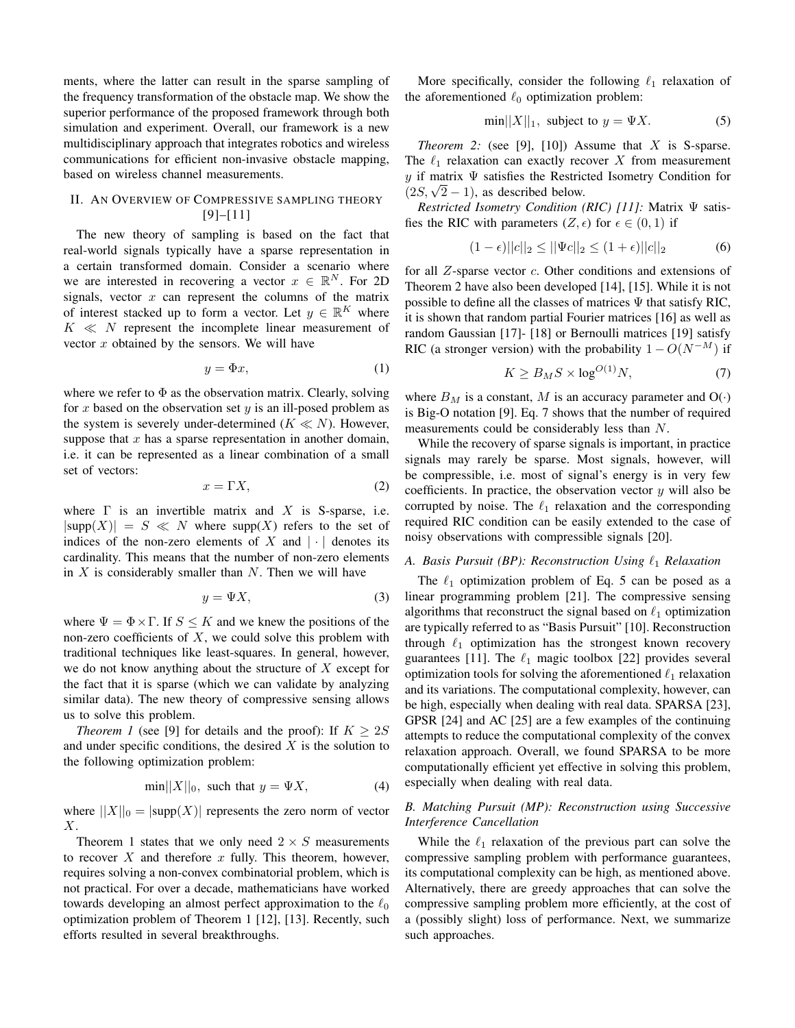ments, where the latter can result in the sparse sampling of the frequency transformation of the obstacle map. We show the superior performance of the proposed framework through both simulation and experiment. Overall, our framework is a new multidisciplinary approach that integrates robotics and wireless communications for efficient non-invasive obstacle mapping, based on wireless channel measurements.

# II. AN OVERVIEW OF COMPRESSIVE SAMPLING THEORY [9]–[11]

The new theory of sampling is based on the fact that real-world signals typically have a sparse representation in a certain transformed domain. Consider a scenario where we are interested in recovering a vector  $x \in \mathbb{R}^N$ . For 2D signals, vector  $x$  can represent the columns of the matrix of interest stacked up to form a vector. Let  $y \in \mathbb{R}^K$  where  $K \ll N$  represent the incomplete linear measurement of vector  $x$  obtained by the sensors. We will have

$$
y = \Phi x,\tag{1}
$$

where we refer to  $\Phi$  as the observation matrix. Clearly, solving for x based on the observation set  $y$  is an ill-posed problem as the system is severely under-determined ( $K \ll N$ ). However, suppose that  $x$  has a sparse representation in another domain, i.e. it can be represented as a linear combination of a small set of vectors:

$$
x = \Gamma X,\tag{2}
$$

where  $\Gamma$  is an invertible matrix and X is S-sparse, i.e.  $|\text{supp}(X)| = S \ll N$  where supp $(X)$  refers to the set of indices of the non-zero elements of X and  $|\cdot|$  denotes its cardinality. This means that the number of non-zero elements in  $X$  is considerably smaller than  $N$ . Then we will have

$$
y = \Psi X,\tag{3}
$$

where  $\Psi = \Phi \times \Gamma$ . If  $S \leq K$  and we knew the positions of the non-zero coefficients of  $X$ , we could solve this problem with traditional techniques like least-squares. In general, however, we do not know anything about the structure of  $X$  except for the fact that it is sparse (which we can validate by analyzing similar data). The new theory of compressive sensing allows us to solve this problem.

*Theorem 1* (see [9] for details and the proof): If  $K \geq 2S$ and under specific conditions, the desired  $X$  is the solution to the following optimization problem:

$$
\min||X||_0, \text{ such that } y = \Psi X,\tag{4}
$$

where  $||X||_0 = |supp(X)|$  represents the zero norm of vector X.

Theorem 1 states that we only need  $2 \times S$  measurements to recover  $X$  and therefore  $x$  fully. This theorem, however, requires solving a non-convex combinatorial problem, which is not practical. For over a decade, mathematicians have worked towards developing an almost perfect approximation to the  $\ell_0$ optimization problem of Theorem 1 [12], [13]. Recently, such efforts resulted in several breakthroughs.

More specifically, consider the following  $\ell_1$  relaxation of the aforementioned  $\ell_0$  optimization problem:

$$
\min||X||_1, \text{ subject to } y = \Psi X. \tag{5}
$$

*Theorem 2:* (see [9], [10]) Assume that  $X$  is S-sparse. The  $\ell_1$  relaxation can exactly recover X from measurement y if matrix  $\Psi$  satisfies the Restricted Isometry Condition for  $(2S, \sqrt{2}-1)$ , as described below.

*Restricted Isometry Condition (RIC) [11]: Matrix Ψ satis*fies the RIC with parameters  $(Z, \epsilon)$  for  $\epsilon \in (0, 1)$  if

$$
(1 - \epsilon) ||c||_2 \le ||\Psi c||_2 \le (1 + \epsilon) ||c||_2 \tag{6}
$$

for all  $Z$ -sparse vector  $c$ . Other conditions and extensions of Theorem 2 have also been developed [14], [15]. While it is not possible to define all the classes of matrices  $\Psi$  that satisfy RIC, it is shown that random partial Fourier matrices [16] as well as random Gaussian [17]- [18] or Bernoulli matrices [19] satisfy RIC (a stronger version) with the probability  $1 - O(N^{-M})$  if

$$
K \ge B_M S \times \log^{O(1)} N,\tag{7}
$$

where  $B_M$  is a constant, M is an accuracy parameter and  $O(·)$ is Big-O notation [9]. Eq. 7 shows that the number of required measurements could be considerably less than N.

While the recovery of sparse signals is important, in practice signals may rarely be sparse. Most signals, however, will be compressible, i.e. most of signal's energy is in very few coefficients. In practice, the observation vector  $y$  will also be corrupted by noise. The  $\ell_1$  relaxation and the corresponding required RIC condition can be easily extended to the case of noisy observations with compressible signals [20].

### *A. Basis Pursuit (BP): Reconstruction Using*  $\ell_1$  *Relaxation*

The  $\ell_1$  optimization problem of Eq. 5 can be posed as a linear programming problem [21]. The compressive sensing algorithms that reconstruct the signal based on  $\ell_1$  optimization are typically referred to as "Basis Pursuit" [10]. Reconstruction through  $\ell_1$  optimization has the strongest known recovery guarantees [11]. The  $\ell_1$  magic toolbox [22] provides several optimization tools for solving the aforementioned  $\ell_1$  relaxation and its variations. The computational complexity, however, can be high, especially when dealing with real data. SPARSA [23], GPSR [24] and AC [25] are a few examples of the continuing attempts to reduce the computational complexity of the convex relaxation approach. Overall, we found SPARSA to be more computationally efficient yet effective in solving this problem, especially when dealing with real data.

# *B. Matching Pursuit (MP): Reconstruction using Successive Interference Cancellation*

While the  $\ell_1$  relaxation of the previous part can solve the compressive sampling problem with performance guarantees, its computational complexity can be high, as mentioned above. Alternatively, there are greedy approaches that can solve the compressive sampling problem more efficiently, at the cost of a (possibly slight) loss of performance. Next, we summarize such approaches.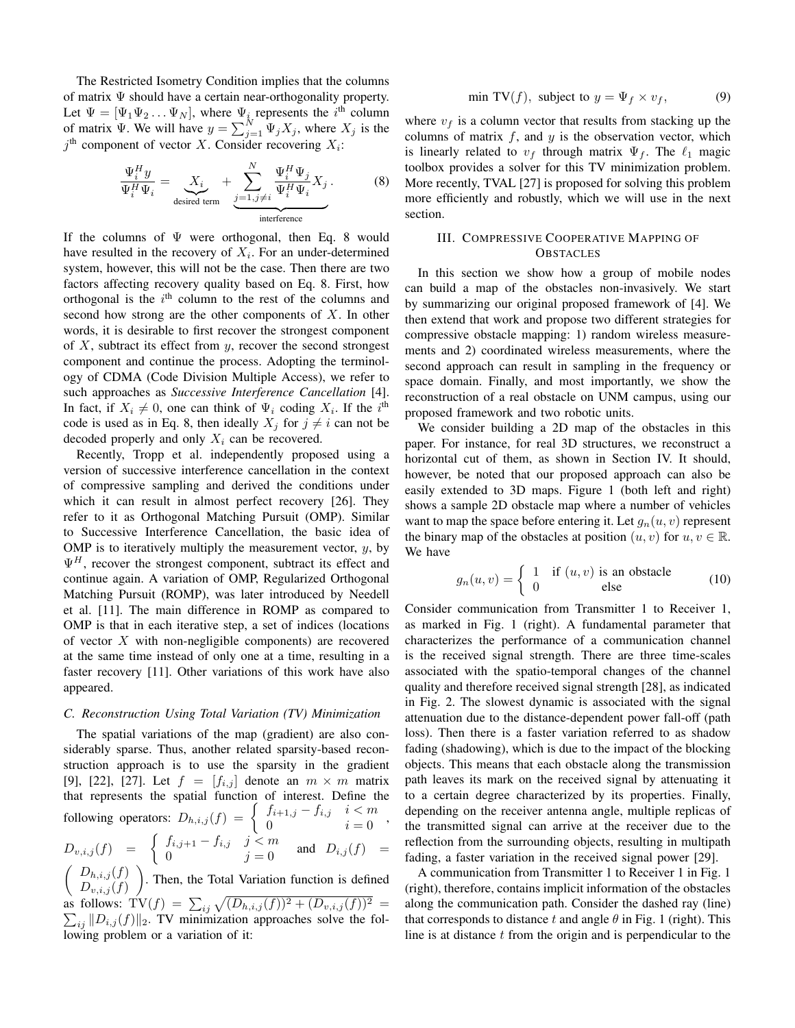The Restricted Isometry Condition implies that the columns of matrix Ψ should have a certain near-orthogonality property. Let  $\Psi = [\Psi_1 \Psi_2 \dots \Psi_N]$ , where  $\Psi_i$  represents the *i*<sup>th</sup> column of matrix  $\Psi$ . We will have  $y = \sum_{j=1}^{N} \Psi_j X_j$ , where  $X_j$  is the  $j<sup>th</sup>$  component of vector X. Consider recovering  $X_i$ :

$$
\frac{\Psi_i^H y}{\Psi_i^H \Psi_i} = \underbrace{X_i}_{\text{desired term}} + \underbrace{\sum_{j=1, j \neq i}^N \frac{\Psi_i^H \Psi_j}{\Psi_i^H \Psi_i} X_j}_{\text{interference}}.
$$
\n(8)

If the columns of  $\Psi$  were orthogonal, then Eq. 8 would have resulted in the recovery of  $X_i$ . For an under-determined system, however, this will not be the case. Then there are two factors affecting recovery quality based on Eq. 8. First, how orthogonal is the  $i<sup>th</sup>$  column to the rest of the columns and second how strong are the other components of  $X$ . In other words, it is desirable to first recover the strongest component of  $X$ , subtract its effect from  $y$ , recover the second strongest component and continue the process. Adopting the terminology of CDMA (Code Division Multiple Access), we refer to such approaches as *Successive Interference Cancellation* [4]. In fact, if  $X_i \neq 0$ , one can think of  $\Psi_i$  coding  $X_i$ . If the  $i^{\text{th}}$ code is used as in Eq. 8, then ideally  $X_i$  for  $j \neq i$  can not be decoded properly and only  $X_i$  can be recovered.

Recently, Tropp et al. independently proposed using a version of successive interference cancellation in the context of compressive sampling and derived the conditions under which it can result in almost perfect recovery [26]. They refer to it as Orthogonal Matching Pursuit (OMP). Similar to Successive Interference Cancellation, the basic idea of OMP is to iteratively multiply the measurement vector,  $y$ , by  $\Psi^H$ , recover the strongest component, subtract its effect and continue again. A variation of OMP, Regularized Orthogonal Matching Pursuit (ROMP), was later introduced by Needell et al. [11]. The main difference in ROMP as compared to OMP is that in each iterative step, a set of indices (locations of vector  $X$  with non-negligible components) are recovered at the same time instead of only one at a time, resulting in a faster recovery [11]. Other variations of this work have also appeared.

## *C. Reconstruction Using Total Variation (TV) Minimization*

The spatial variations of the map (gradient) are also considerably sparse. Thus, another related sparsity-based reconstruction approach is to use the sparsity in the gradient [9], [22], [27]. Let  $f = [f_{i,j}]$  denote an  $m \times m$  matrix that represents the spatial function of interest. Define the following operators:  $D_{h,i,j}(f) = \begin{cases} f_{i+1,j} - f_{i,j} & i < m \\ 0 & i = 0 \end{cases}$ ,  $D_{v,i,j}(f) = \begin{cases} f_{i,j+1} - f_{i,j} & j < m \\ 0 & j = 0 \end{cases}$  and  $D_{i,j}(f) =$  $\left( D_{h,i,j}(f) \right)$  $D_{v,i,j}(f)$  . Then, the Total Variation function is defined as follows: TV $(f) = \sum_{ij} \sqrt{(D_{h,i,j}(f))^2 + (D_{v,i,j}(f))^2}$  =  $\sum_{ij} ||D_{i,j}(f)||_2$ . TV minimization approaches solve the following problem or a variation of it:

$$
\min \text{TV}(f), \text{ subject to } y = \Psi_f \times v_f, \tag{9}
$$

where  $v_f$  is a column vector that results from stacking up the columns of matrix  $f$ , and  $y$  is the observation vector, which is linearly related to  $v_f$  through matrix  $\Psi_f$ . The  $\ell_1$  magic toolbox provides a solver for this TV minimization problem. More recently, TVAL [27] is proposed for solving this problem more efficiently and robustly, which we will use in the next section.

# III. COMPRESSIVE COOPERATIVE MAPPING OF **OBSTACLES**

In this section we show how a group of mobile nodes can build a map of the obstacles non-invasively. We start by summarizing our original proposed framework of [4]. We then extend that work and propose two different strategies for compressive obstacle mapping: 1) random wireless measurements and 2) coordinated wireless measurements, where the second approach can result in sampling in the frequency or space domain. Finally, and most importantly, we show the reconstruction of a real obstacle on UNM campus, using our proposed framework and two robotic units.

We consider building a 2D map of the obstacles in this paper. For instance, for real 3D structures, we reconstruct a horizontal cut of them, as shown in Section IV. It should, however, be noted that our proposed approach can also be easily extended to 3D maps. Figure 1 (both left and right) shows a sample 2D obstacle map where a number of vehicles want to map the space before entering it. Let  $g_n(u, v)$  represent the binary map of the obstacles at position  $(u, v)$  for  $u, v \in \mathbb{R}$ . We have

$$
g_n(u,v) = \begin{cases} 1 & \text{if } (u,v) \text{ is an obstacle} \\ 0 & \text{else} \end{cases}
$$
 (10)

Consider communication from Transmitter 1 to Receiver 1, as marked in Fig. 1 (right). A fundamental parameter that characterizes the performance of a communication channel is the received signal strength. There are three time-scales associated with the spatio-temporal changes of the channel quality and therefore received signal strength [28], as indicated in Fig. 2. The slowest dynamic is associated with the signal attenuation due to the distance-dependent power fall-off (path loss). Then there is a faster variation referred to as shadow fading (shadowing), which is due to the impact of the blocking objects. This means that each obstacle along the transmission path leaves its mark on the received signal by attenuating it to a certain degree characterized by its properties. Finally, depending on the receiver antenna angle, multiple replicas of the transmitted signal can arrive at the receiver due to the reflection from the surrounding objects, resulting in multipath fading, a faster variation in the received signal power [29].

A communication from Transmitter 1 to Receiver 1 in Fig. 1 (right), therefore, contains implicit information of the obstacles along the communication path. Consider the dashed ray (line) that corresponds to distance t and angle  $\theta$  in Fig. 1 (right). This line is at distance  $t$  from the origin and is perpendicular to the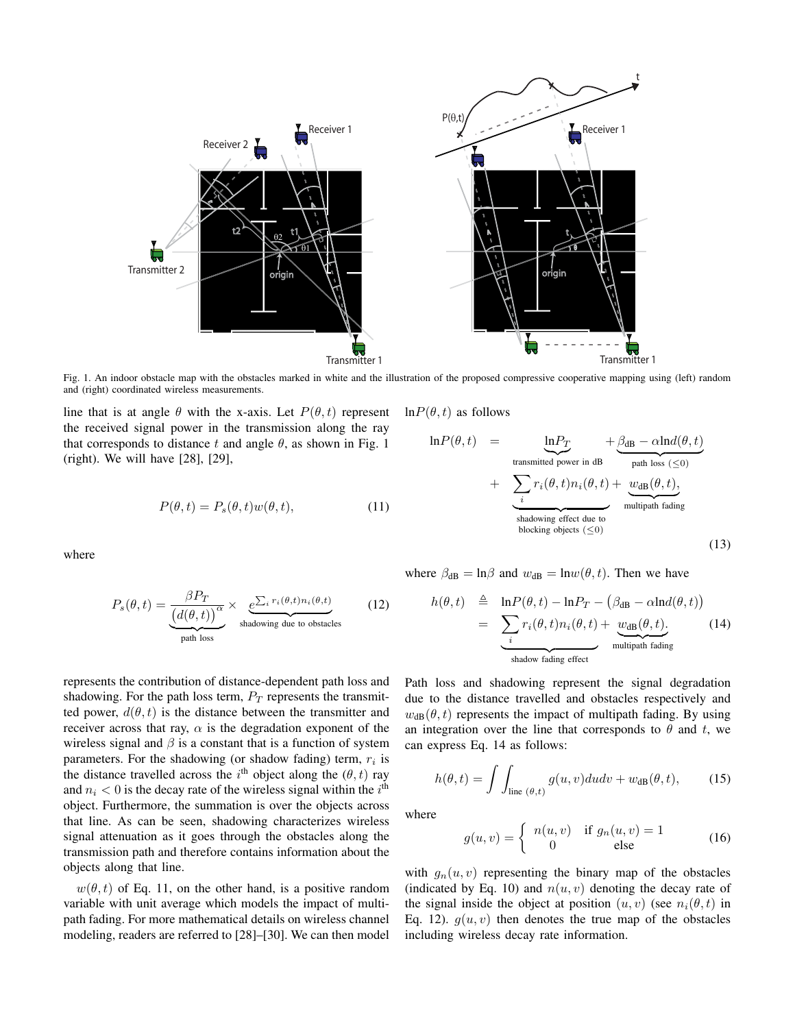

Fig. 1. An indoor obstacle map with the obstacles marked in white and the illustration of the proposed compressive cooperative mapping using (left) random and (right) coordinated wireless measurements.

line that is at angle  $\theta$  with the x-axis. Let  $P(\theta, t)$  represent the received signal power in the transmission along the ray that corresponds to distance t and angle  $\theta$ , as shown in Fig. 1 (right). We will have [28], [29],

$$
P(\theta, t) = P_s(\theta, t)w(\theta, t), \qquad (11)
$$

where

$$
P_s(\theta, t) = \underbrace{\frac{\beta P_T}{(d(\theta, t))^{\alpha}} \times \underbrace{e^{\sum_i r_i(\theta, t) n_i(\theta, t)}}_{\text{shadowing due to obstacles}} \tag{12}
$$

represents the contribution of distance-dependent path loss and shadowing. For the path loss term,  $P_T$  represents the transmitted power,  $d(\theta, t)$  is the distance between the transmitter and receiver across that ray,  $\alpha$  is the degradation exponent of the wireless signal and  $\beta$  is a constant that is a function of system parameters. For the shadowing (or shadow fading) term,  $r_i$  is the distance travelled across the  $i<sup>th</sup>$  object along the  $(\theta, t)$  ray and  $n_i < 0$  is the decay rate of the wireless signal within the  $i^{\text{th}}$ object. Furthermore, the summation is over the objects across that line. As can be seen, shadowing characterizes wireless signal attenuation as it goes through the obstacles along the transmission path and therefore contains information about the objects along that line.

 $w(\theta, t)$  of Eq. 11, on the other hand, is a positive random variable with unit average which models the impact of multipath fading. For more mathematical details on wireless channel modeling, readers are referred to [28]–[30]. We can then model  $\ln P(\theta, t)$  as follows

$$
\ln P(\theta, t) = \underbrace{\ln P_T}_{\text{transmitted power in dB}} + \underbrace{\beta_{\text{dB}} - \alpha \ln d(\theta, t)}_{\text{path loss } (\leq 0)} + \underbrace{\sum_{i} r_i(\theta, t) n_i(\theta, t)}_{\text{shadowing effect due to} + \text{Multipath fading}} + \underbrace{w_{\text{dB}}(\theta, t)}_{\text{multipath fading}},
$$
\n(13)

where  $\beta_{dB} = \ln \beta$  and  $w_{dB} = \ln w(\theta, t)$ . Then we have

$$
h(\theta, t) \triangleq \ln P(\theta, t) - \ln P_T - (\beta_{\text{dB}} - \alpha \ln d(\theta, t))
$$
  
= 
$$
\underbrace{\sum_{i} r_i(\theta, t) n_i(\theta, t)}_{\text{shadow fading effect}} + \underbrace{w_{\text{dB}}(\theta, t)}_{\text{multipath fading}}.
$$
 (14)

Path loss and shadowing represent the signal degradation due to the distance travelled and obstacles respectively and  $w_{dB}(\theta, t)$  represents the impact of multipath fading. By using an integration over the line that corresponds to  $\theta$  and t, we can express Eq. 14 as follows:

$$
h(\theta, t) = \int \int_{\text{line }(\theta, t)} g(u, v) du dv + w_{\text{dB}}(\theta, t), \quad (15)
$$

where

$$
g(u,v) = \begin{cases} n(u,v) & \text{if } g_n(u,v) = 1\\ 0 & \text{else} \end{cases}
$$
 (16)

with  $g_n(u, v)$  representing the binary map of the obstacles (indicated by Eq. 10) and  $n(u, v)$  denoting the decay rate of the signal inside the object at position  $(u, v)$  (see  $n_i(\theta, t)$  in Eq. 12).  $g(u, v)$  then denotes the true map of the obstacles including wireless decay rate information.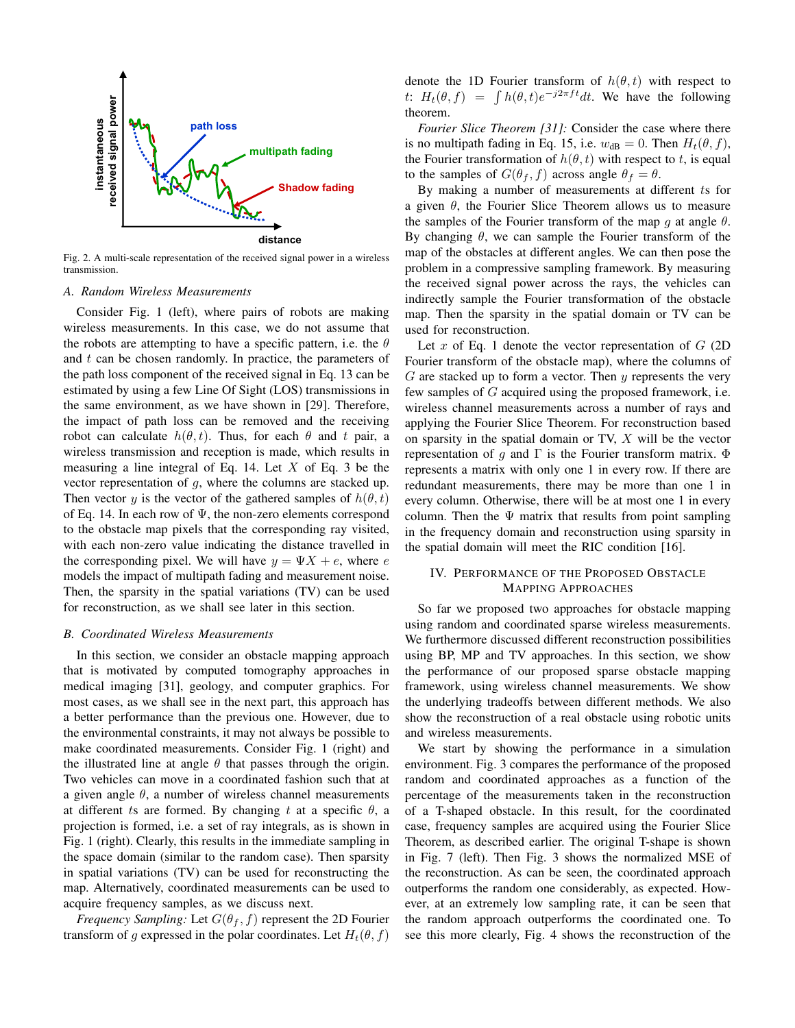

Fig. 2. A multi-scale representation of the received signal power in a wireless transmission.

## *A. Random Wireless Measurements*

Consider Fig. 1 (left), where pairs of robots are making wireless measurements. In this case, we do not assume that the robots are attempting to have a specific pattern, i.e. the  $\theta$ and t can be chosen randomly. In practice, the parameters of the path loss component of the received signal in Eq. 13 can be estimated by using a few Line Of Sight (LOS) transmissions in the same environment, as we have shown in [29]. Therefore, the impact of path loss can be removed and the receiving robot can calculate  $h(\theta, t)$ . Thus, for each  $\theta$  and t pair, a wireless transmission and reception is made, which results in measuring a line integral of Eq. 14. Let  $X$  of Eq. 3 be the vector representation of g, where the columns are stacked up. Then vector y is the vector of the gathered samples of  $h(\theta, t)$ of Eq. 14. In each row of Ψ, the non-zero elements correspond to the obstacle map pixels that the corresponding ray visited, with each non-zero value indicating the distance travelled in the corresponding pixel. We will have  $y = \Psi X + e$ , where e models the impact of multipath fading and measurement noise. Then, the sparsity in the spatial variations (TV) can be used for reconstruction, as we shall see later in this section.

## *B. Coordinated Wireless Measurements*

In this section, we consider an obstacle mapping approach that is motivated by computed tomography approaches in medical imaging [31], geology, and computer graphics. For most cases, as we shall see in the next part, this approach has a better performance than the previous one. However, due to the environmental constraints, it may not always be possible to make coordinated measurements. Consider Fig. 1 (right) and the illustrated line at angle  $\theta$  that passes through the origin. Two vehicles can move in a coordinated fashion such that at a given angle  $\theta$ , a number of wireless channel measurements at different ts are formed. By changing t at a specific  $\theta$ , a projection is formed, i.e. a set of ray integrals, as is shown in Fig. 1 (right). Clearly, this results in the immediate sampling in the space domain (similar to the random case). Then sparsity in spatial variations (TV) can be used for reconstructing the map. Alternatively, coordinated measurements can be used to acquire frequency samples, as we discuss next.

*Frequency Sampling:* Let  $G(\theta_f, f)$  represent the 2D Fourier transform of g expressed in the polar coordinates. Let  $H_t(\theta, f)$ 

denote the 1D Fourier transform of  $h(\theta, t)$  with respect to t:  $H_t(\theta, f) = \int h(\theta, t)e^{-j2\pi ft}dt$ . We have the following theorem.

*Fourier Slice Theorem [31]:* Consider the case where there is no multipath fading in Eq. 15, i.e.  $w_{dB} = 0$ . Then  $H_t(\theta, f)$ , the Fourier transformation of  $h(\theta, t)$  with respect to t, is equal to the samples of  $G(\theta_f, f)$  across angle  $\theta_f = \theta$ .

By making a number of measurements at different ts for a given  $\theta$ , the Fourier Slice Theorem allows us to measure the samples of the Fourier transform of the map g at angle  $\theta$ . By changing  $\theta$ , we can sample the Fourier transform of the map of the obstacles at different angles. We can then pose the problem in a compressive sampling framework. By measuring the received signal power across the rays, the vehicles can indirectly sample the Fourier transformation of the obstacle map. Then the sparsity in the spatial domain or TV can be used for reconstruction.

Let x of Eq. 1 denote the vector representation of  $G(2D)$ Fourier transform of the obstacle map), where the columns of G are stacked up to form a vector. Then  $y$  represents the very few samples of  $G$  acquired using the proposed framework, i.e. wireless channel measurements across a number of rays and applying the Fourier Slice Theorem. For reconstruction based on sparsity in the spatial domain or TV, X will be the vector representation of g and  $\Gamma$  is the Fourier transform matrix.  $\Phi$ represents a matrix with only one 1 in every row. If there are redundant measurements, there may be more than one 1 in every column. Otherwise, there will be at most one 1 in every column. Then the  $\Psi$  matrix that results from point sampling in the frequency domain and reconstruction using sparsity in the spatial domain will meet the RIC condition [16].

# IV. PERFORMANCE OF THE PROPOSED OBSTACLE MAPPING APPROACHES

So far we proposed two approaches for obstacle mapping using random and coordinated sparse wireless measurements. We furthermore discussed different reconstruction possibilities using BP, MP and TV approaches. In this section, we show the performance of our proposed sparse obstacle mapping framework, using wireless channel measurements. We show the underlying tradeoffs between different methods. We also show the reconstruction of a real obstacle using robotic units and wireless measurements.

We start by showing the performance in a simulation environment. Fig. 3 compares the performance of the proposed random and coordinated approaches as a function of the percentage of the measurements taken in the reconstruction of a T-shaped obstacle. In this result, for the coordinated case, frequency samples are acquired using the Fourier Slice Theorem, as described earlier. The original T-shape is shown in Fig. 7 (left). Then Fig. 3 shows the normalized MSE of the reconstruction. As can be seen, the coordinated approach outperforms the random one considerably, as expected. However, at an extremely low sampling rate, it can be seen that the random approach outperforms the coordinated one. To see this more clearly, Fig. 4 shows the reconstruction of the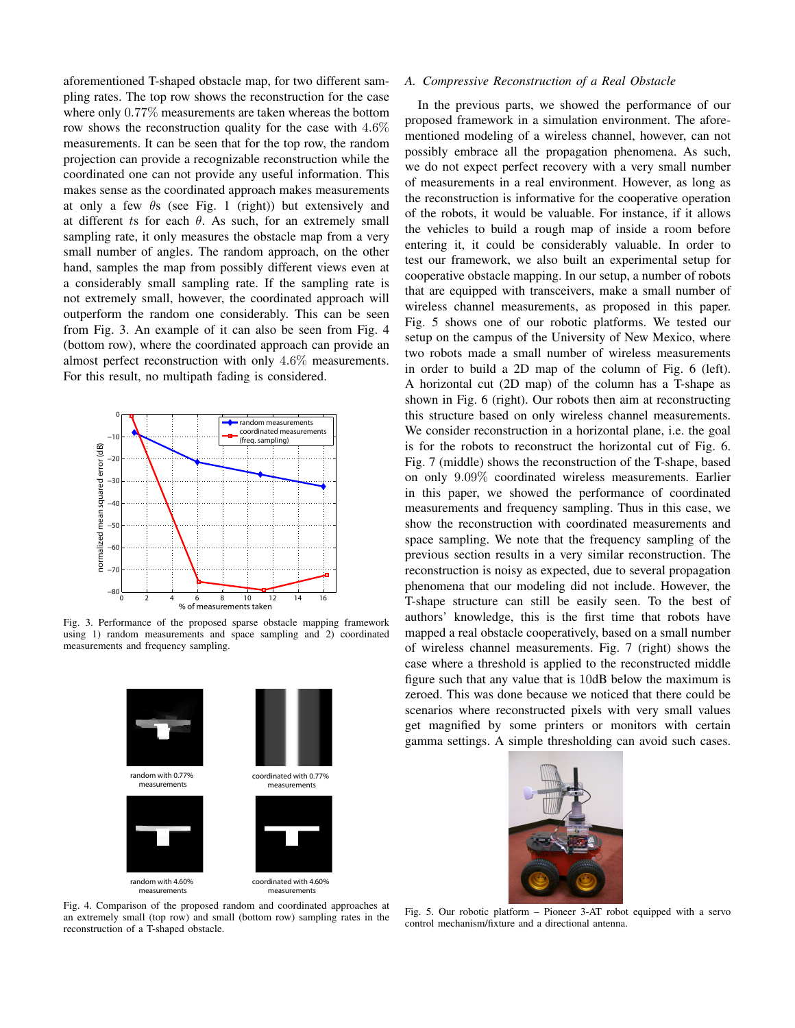aforementioned T-shaped obstacle map, for two different sampling rates. The top row shows the reconstruction for the case where only 0.77% measurements are taken whereas the bottom row shows the reconstruction quality for the case with 4.6% measurements. It can be seen that for the top row, the random projection can provide a recognizable reconstruction while the coordinated one can not provide any useful information. This makes sense as the coordinated approach makes measurements at only a few  $\theta$ s (see Fig. 1 (right)) but extensively and at different ts for each  $\theta$ . As such, for an extremely small sampling rate, it only measures the obstacle map from a very small number of angles. The random approach, on the other hand, samples the map from possibly different views even at a considerably small sampling rate. If the sampling rate is not extremely small, however, the coordinated approach will outperform the random one considerably. This can be seen from Fig. 3. An example of it can also be seen from Fig. 4 (bottom row), where the coordinated approach can provide an almost perfect reconstruction with only 4.6% measurements. For this result, no multipath fading is considered.



Fig. 3. Performance of the proposed sparse obstacle mapping framework using 1) random measurements and space sampling and 2) coordinated measurements and frequency sampling.



Fig. 4. Comparison of the proposed random and coordinated approaches at an extremely small (top row) and small (bottom row) sampling rates in the reconstruction of a T-shaped obstacle.

#### *A. Compressive Reconstruction of a Real Obstacle*

In the previous parts, we showed the performance of our proposed framework in a simulation environment. The aforementioned modeling of a wireless channel, however, can not possibly embrace all the propagation phenomena. As such, we do not expect perfect recovery with a very small number of measurements in a real environment. However, as long as the reconstruction is informative for the cooperative operation of the robots, it would be valuable. For instance, if it allows the vehicles to build a rough map of inside a room before entering it, it could be considerably valuable. In order to test our framework, we also built an experimental setup for cooperative obstacle mapping. In our setup, a number of robots that are equipped with transceivers, make a small number of wireless channel measurements, as proposed in this paper. Fig. 5 shows one of our robotic platforms. We tested our setup on the campus of the University of New Mexico, where two robots made a small number of wireless measurements in order to build a 2D map of the column of Fig. 6 (left). A horizontal cut (2D map) of the column has a T-shape as shown in Fig. 6 (right). Our robots then aim at reconstructing this structure based on only wireless channel measurements. We consider reconstruction in a horizontal plane, i.e. the goal is for the robots to reconstruct the horizontal cut of Fig. 6. Fig. 7 (middle) shows the reconstruction of the T-shape, based on only 9.09% coordinated wireless measurements. Earlier in this paper, we showed the performance of coordinated measurements and frequency sampling. Thus in this case, we show the reconstruction with coordinated measurements and space sampling. We note that the frequency sampling of the previous section results in a very similar reconstruction. The reconstruction is noisy as expected, due to several propagation phenomena that our modeling did not include. However, the T-shape structure can still be easily seen. To the best of authors' knowledge, this is the first time that robots have mapped a real obstacle cooperatively, based on a small number of wireless channel measurements. Fig. 7 (right) shows the case where a threshold is applied to the reconstructed middle figure such that any value that is 10dB below the maximum is zeroed. This was done because we noticed that there could be scenarios where reconstructed pixels with very small values get magnified by some printers or monitors with certain gamma settings. A simple thresholding can avoid such cases.



Fig. 5. Our robotic platform – Pioneer 3-AT robot equipped with a servo control mechanism/fixture and a directional antenna.